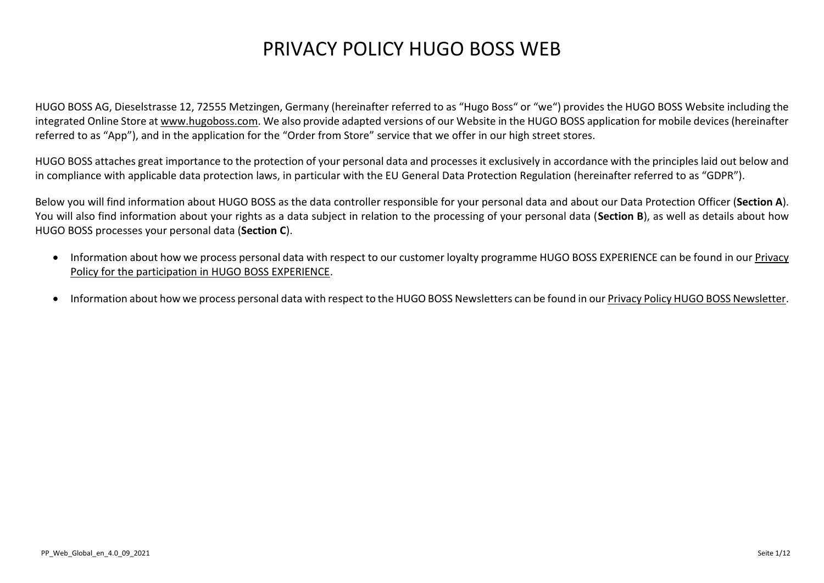# PRIVACY POLICY HUGO BOSS WEB

HUGO BOSS AG, Dieselstrasse 12, 72555 Metzingen, Germany (hereinafter referred to as "Hugo Boss" or "we") provides the HUGO BOSS Website including the integrated Online Store at [www.hugoboss.com.](http://www.hugoboss.com/) We also provide adapted versions of our Website in the HUGO BOSS application for mobile devices (hereinafter referred to as "App"), and in the application for the "Order from Store" service that we offer in our high street stores.

HUGO BOSS attaches great importance to the protection of your personal data and processes it exclusively in accordance with the principles laid out below and in compliance with applicable data protection laws, in particular with the EU General Data Protection Regulation (hereinafter referred to as "GDPR").

Below you will find information about HUGO BOSS as the data controller responsible for your personal data and about our Data Protection Officer (**Section A**). You will also find information about your rights as a data subject in relation to the processing of your personal data (**Section B**), as well as details about how HUGO BOSS processes your personal data (**Section C**).

- Information about how we process personal data with respect to our customer loyalty programme HUGO BOSS EXPERIENCE can be found in our [Privacy](https://www.hugoboss.com/uk/about-hugo-boss/privacy-statement-experience/privacy-statement-experience.html)  [Policy for the participation in HUGO BOSS EXPERIENCE.](https://www.hugoboss.com/uk/about-hugo-boss/privacy-statement-experience/privacy-statement-experience.html)
- Information about how we process personal data with respect to the HUGO BOSS Newsletters can be found in ou[r Privacy Policy HUGO BOSS Newsletter.](https://www.hugoboss.com/uk/privacy-statement-newsletter/privacy-statement-newsletter.html)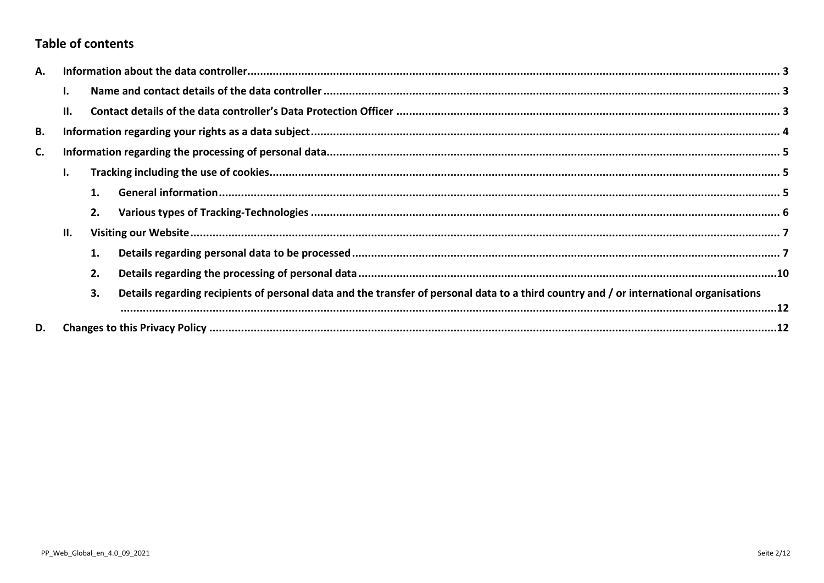# **Table of contents**

| Α. |     |    |                                                                                                                                         |  |  |  |
|----|-----|----|-----------------------------------------------------------------------------------------------------------------------------------------|--|--|--|
|    |     |    |                                                                                                                                         |  |  |  |
|    | П.  |    |                                                                                                                                         |  |  |  |
| В. |     |    |                                                                                                                                         |  |  |  |
| C. |     |    |                                                                                                                                         |  |  |  |
|    |     |    |                                                                                                                                         |  |  |  |
|    |     |    |                                                                                                                                         |  |  |  |
|    |     | 2. |                                                                                                                                         |  |  |  |
|    | II. |    |                                                                                                                                         |  |  |  |
|    |     | 1. |                                                                                                                                         |  |  |  |
|    |     | 2. |                                                                                                                                         |  |  |  |
|    |     | 3. | Details regarding recipients of personal data and the transfer of personal data to a third country and / or international organisations |  |  |  |
| D. |     |    |                                                                                                                                         |  |  |  |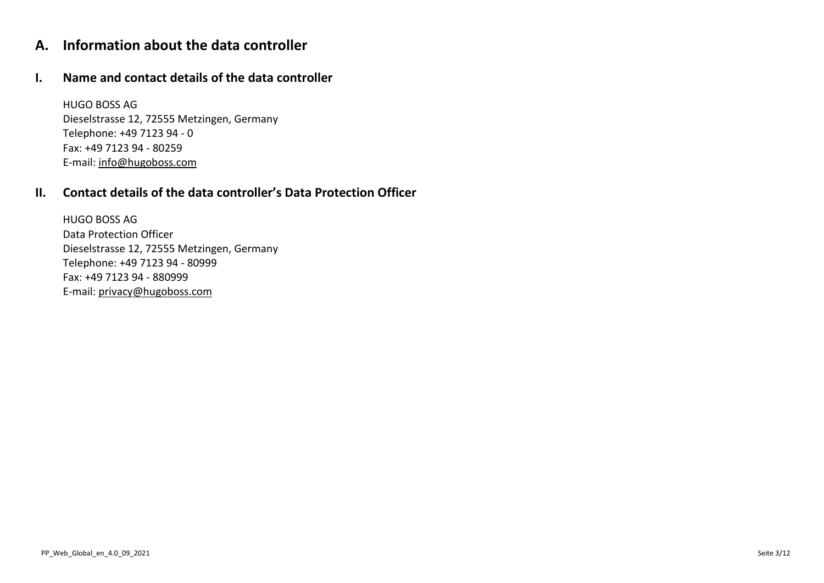# <span id="page-2-0"></span>**A. Information about the data controller**

### <span id="page-2-1"></span>**I. Name and contact details of the data controller**

HUGO BOSS AG Dieselstrasse 12, 72555 Metzingen, Germany Telephone: +49 7123 94 - 0 Fax: +49 7123 94 - 80259 E-mail: [info@hugoboss.com](mailto:info@hugoboss.com)

# <span id="page-2-2"></span>**II. Contact details of the data controller's Data Protection Officer**

HUGO BOSS AG Data Protection Officer Dieselstrasse 12, 72555 Metzingen, Germany Telephone: +49 7123 94 - 80999 Fax: +49 7123 94 - 880999 E-mail: [privacy@hugoboss.com](mailto:privacy@hugoboss.com)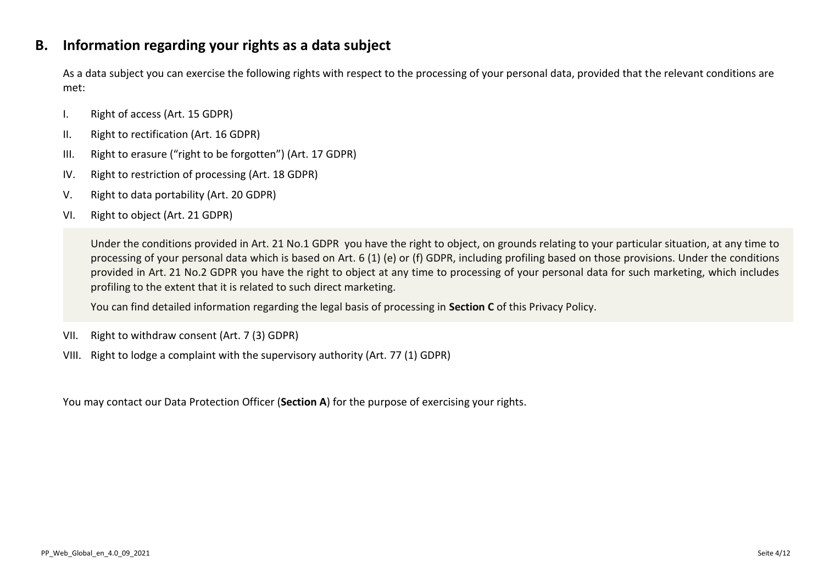# <span id="page-3-0"></span>**B. Information regarding your rights as a data subject**

As a data subject you can exercise the following rights with respect to the processing of your personal data, provided that the relevant conditions are met:

- I. Right of access (Art. 15 GDPR)
- II. Right to rectification (Art. 16 GDPR)
- III. Right to erasure ("right to be forgotten") (Art. 17 GDPR)
- IV. Right to restriction of processing (Art. 18 GDPR)
- V. Right to data portability (Art. 20 GDPR)
- VI. Right to object (Art. 21 GDPR)

Under the conditions provided in Art. 21 No.1 GDPR you have the right to object, on grounds relating to your particular situation, at any time to processing of your personal data which is based on Art. 6 (1) (e) or (f) GDPR, including profiling based on those provisions. Under the conditions provided in Art. 21 No.2 GDPR you have the right to object at any time to processing of your personal data for such marketing, which includes profiling to the extent that it is related to such direct marketing.

You can find detailed information regarding the legal basis of processing in **Section [C](#page-4-0)** of this Privacy Policy.

- VII. Right to withdraw consent (Art. 7 (3) GDPR)
- VIII. Right to lodge a complaint with the supervisory authority (Art. 77 (1) GDPR)

You may contact our Data Protection Officer (**Section A**) for the purpose of exercising your rights.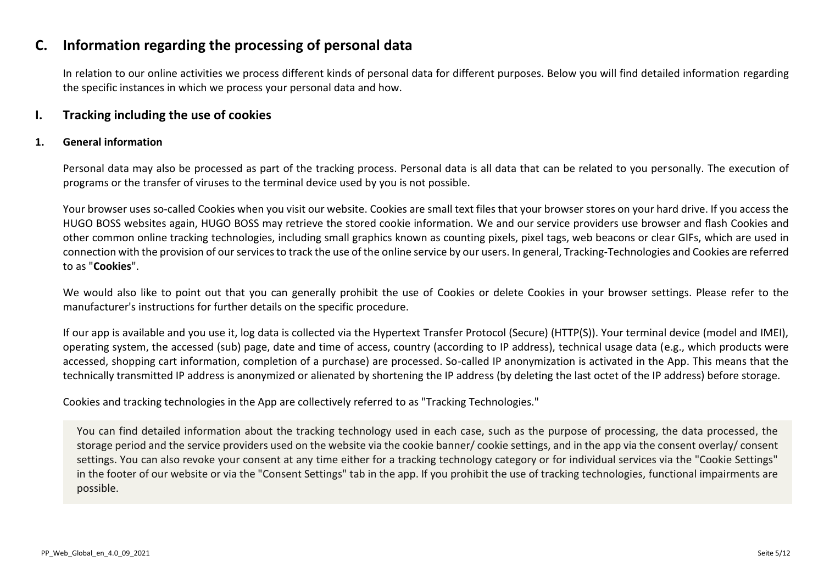# <span id="page-4-0"></span>**C. Information regarding the processing of personal data**

In relation to our online activities we process different kinds of personal data for different purposes. Below you will find detailed information regarding the specific instances in which we process your personal data and how.

### <span id="page-4-1"></span>**I. Tracking including the use of cookies**

#### <span id="page-4-2"></span>**1. General information**

Personal data may also be processed as part of the tracking process. Personal data is all data that can be related to you personally. The execution of programs or the transfer of viruses to the terminal device used by you is not possible.

Your browser uses so-called Cookies when you visit our website. Cookies are small text files that your browser stores on your hard drive. If you access the HUGO BOSS websites again, HUGO BOSS may retrieve the stored cookie information. We and our service providers use browser and flash Cookies and other common online tracking technologies, including small graphics known as counting pixels, pixel tags, web beacons or clear GIFs, which are used in connection with the provision of our services to track the use of the online service by our users. In general, Tracking-Technologies and Cookies are referred to as "**Cookies**".

We would also like to point out that you can generally prohibit the use of Cookies or delete Cookies in your browser settings. Please refer to the manufacturer's instructions for further details on the specific procedure.

If our app is available and you use it, log data is collected via the Hypertext Transfer Protocol (Secure) (HTTP(S)). Your terminal device (model and IMEI), operating system, the accessed (sub) page, date and time of access, country (according to IP address), technical usage data (e.g., which products were accessed, shopping cart information, completion of a purchase) are processed. So-called IP anonymization is activated in the App. This means that the technically transmitted IP address is anonymized or alienated by shortening the IP address (by deleting the last octet of the IP address) before storage.

Cookies and tracking technologies in the App are collectively referred to as "Tracking Technologies."

You can find detailed information about the tracking technology used in each case, such as the purpose of processing, the data processed, the storage period and the service providers used on the website via the cookie banner/ cookie settings, and in the app via the consent overlay/ consent settings. You can also revoke your consent at any time either for a tracking technology category or for individual services via the "Cookie Settings" in the footer of our website or via the "Consent Settings" tab in the app. If you prohibit the use of tracking technologies, functional impairments are possible.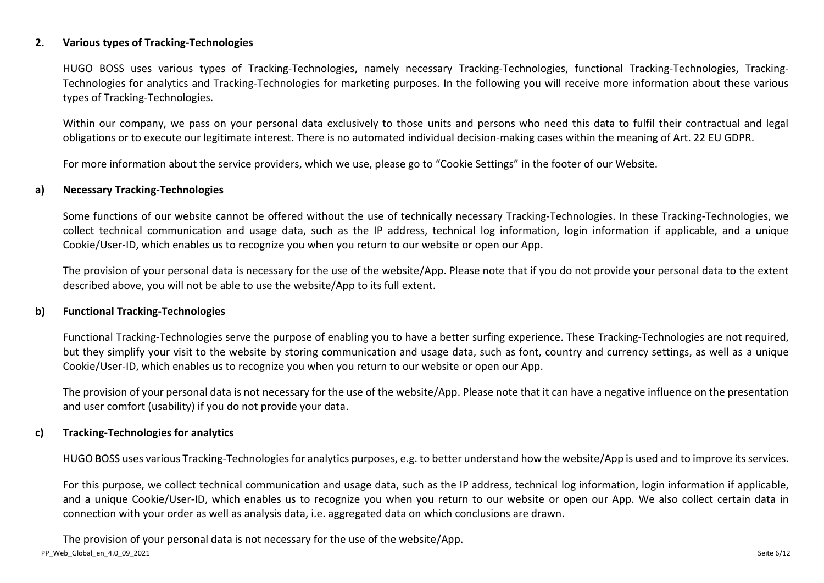#### <span id="page-5-0"></span>**2. Various types of Tracking-Technologies**

HUGO BOSS uses various types of Tracking-Technologies, namely necessary Tracking-Technologies, functional Tracking-Technologies, Tracking-Technologies for analytics and Tracking-Technologies for marketing purposes. In the following you will receive more information about these various types of Tracking-Technologies.

Within our company, we pass on your personal data exclusively to those units and persons who need this data to fulfil their contractual and legal obligations or to execute our legitimate interest. There is no automated individual decision-making cases within the meaning of Art. 22 EU GDPR.

For more information about the service providers, which we use, please go to "Cookie Settings" in the footer of our Website.

#### **a) Necessary Tracking-Technologies**

Some functions of our website cannot be offered without the use of technically necessary Tracking-Technologies. In these Tracking-Technologies, we collect technical communication and usage data, such as the IP address, technical log information, login information if applicable, and a unique Cookie/User-ID, which enables us to recognize you when you return to our website or open our App.

The provision of your personal data is necessary for the use of the website/App. Please note that if you do not provide your personal data to the extent described above, you will not be able to use the website/App to its full extent.

#### **b) Functional Tracking-Technologies**

Functional Tracking-Technologies serve the purpose of enabling you to have a better surfing experience. These Tracking-Technologies are not required, but they simplify your visit to the website by storing communication and usage data, such as font, country and currency settings, as well as a unique Cookie/User-ID, which enables us to recognize you when you return to our website or open our App.

The provision of your personal data is not necessary for the use of the website/App. Please note that it can have a negative influence on the presentation and user comfort (usability) if you do not provide your data.

#### **c) Tracking-Technologies for analytics**

HUGO BOSS uses various Tracking-Technologiesfor analytics purposes, e.g. to better understand how the website/App is used and to improve its services.

For this purpose, we collect technical communication and usage data, such as the IP address, technical log information, login information if applicable, and a unique Cookie/User-ID, which enables us to recognize you when you return to our website or open our App. We also collect certain data in connection with your order as well as analysis data, i.e. aggregated data on which conclusions are drawn.

PP\_Web\_Global\_en\_4.0\_09\_2021 Seite 6/12 The provision of your personal data is not necessary for the use of the website/App.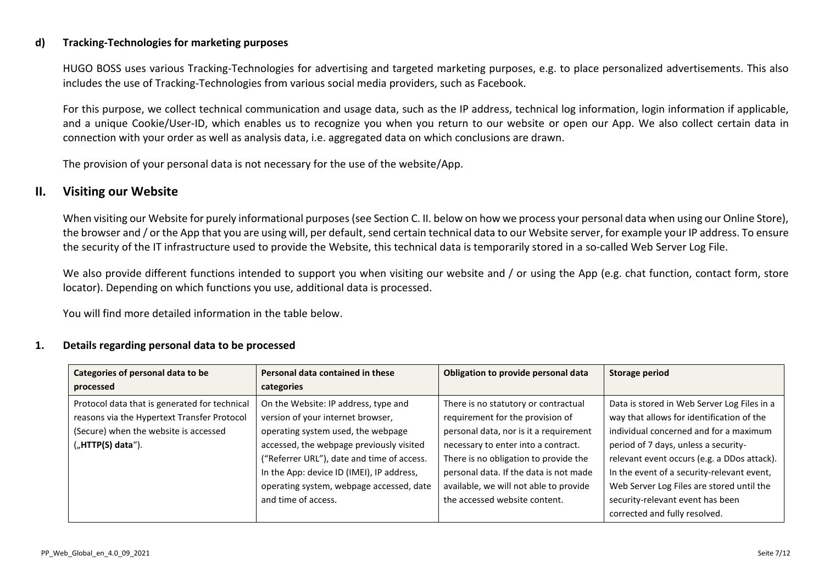#### **d) Tracking-Technologies for marketing purposes**

HUGO BOSS uses various Tracking-Technologies for advertising and targeted marketing purposes, e.g. to place personalized advertisements. This also includes the use of Tracking-Technologies from various social media providers, such as Facebook.

For this purpose, we collect technical communication and usage data, such as the IP address, technical log information, login information if applicable, and a unique Cookie/User-ID, which enables us to recognize you when you return to our website or open our App. We also collect certain data in connection with your order as well as analysis data, i.e. aggregated data on which conclusions are drawn.

The provision of your personal data is not necessary for the use of the website/App.

### <span id="page-6-0"></span>**II. Visiting our Website**

When visiting our Website for purely informational purposes (see Section C. II. below on how we process your personal data when using our Online Store), the browser and / or the App that you are using will, per default, send certain technical data to our Website server, for example your IP address. To ensure the security of the IT infrastructure used to provide the Website, this technical data is temporarily stored in a so-called Web Server Log File.

We also provide different functions intended to support you when visiting our website and / or using the App (e.g. chat function, contact form, store locator). Depending on which functions you use, additional data is processed.

You will find more detailed information in the table below.

#### <span id="page-6-1"></span>**1. Details regarding personal data to be processed**

| Categories of personal data to be             | Personal data contained in these           | Obligation to provide personal data    | <b>Storage period</b>                       |
|-----------------------------------------------|--------------------------------------------|----------------------------------------|---------------------------------------------|
| processed                                     | categories                                 |                                        |                                             |
| Protocol data that is generated for technical | On the Website: IP address, type and       | There is no statutory or contractual   | Data is stored in Web Server Log Files in a |
| reasons via the Hypertext Transfer Protocol   | version of your internet browser,          | requirement for the provision of       | way that allows for identification of the   |
| (Secure) when the website is accessed         | operating system used, the webpage         | personal data, nor is it a requirement | individual concerned and for a maximum      |
| $($ "HTTP $(S)$ data").                       | accessed, the webpage previously visited   | necessary to enter into a contract.    | period of 7 days, unless a security-        |
|                                               | ("Referrer URL"), date and time of access. | There is no obligation to provide the  | relevant event occurs (e.g. a DDos attack). |
|                                               | In the App: device ID (IMEI), IP address,  | personal data. If the data is not made | In the event of a security-relevant event,  |
|                                               | operating system, webpage accessed, date   | available, we will not able to provide | Web Server Log Files are stored until the   |
|                                               | and time of access.                        | the accessed website content.          | security-relevant event has been            |
|                                               |                                            |                                        | corrected and fully resolved.               |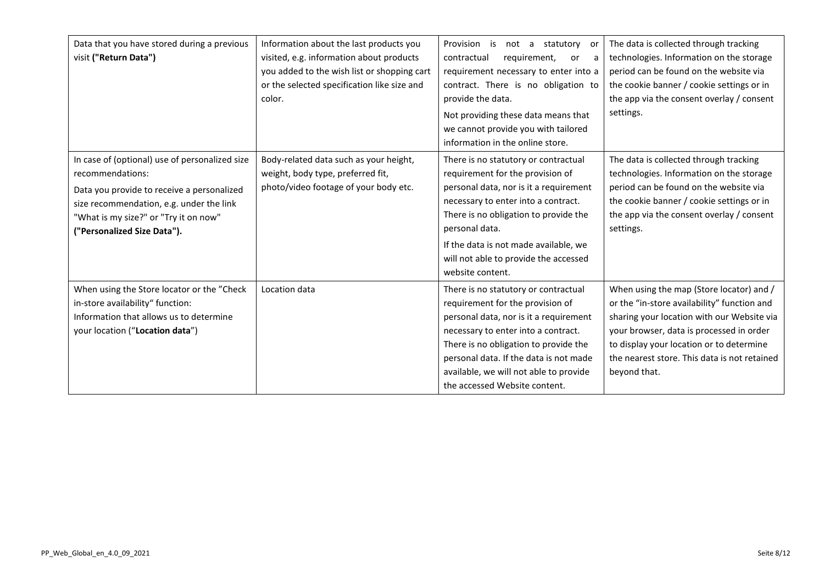| Data that you have stored during a previous<br>visit ("Return Data")                                                                                                                                                                 | Information about the last products you<br>visited, e.g. information about products<br>you added to the wish list or shopping cart<br>or the selected specification like size and<br>color. | Provision is not a statutory or<br>contractual<br>requirement,<br>or<br>a<br>requirement necessary to enter into a<br>contract. There is no obligation to<br>provide the data.<br>Not providing these data means that<br>we cannot provide you with tailored<br>information in the online store.                           | The data is collected through tracking<br>technologies. Information on the storage<br>period can be found on the website via<br>the cookie banner / cookie settings or in<br>the app via the consent overlay / consent<br>settings.                                                           |
|--------------------------------------------------------------------------------------------------------------------------------------------------------------------------------------------------------------------------------------|---------------------------------------------------------------------------------------------------------------------------------------------------------------------------------------------|----------------------------------------------------------------------------------------------------------------------------------------------------------------------------------------------------------------------------------------------------------------------------------------------------------------------------|-----------------------------------------------------------------------------------------------------------------------------------------------------------------------------------------------------------------------------------------------------------------------------------------------|
| In case of (optional) use of personalized size<br>recommendations:<br>Data you provide to receive a personalized<br>size recommendation, e.g. under the link<br>"What is my size?" or "Try it on now"<br>("Personalized Size Data"). | Body-related data such as your height,<br>weight, body type, preferred fit,<br>photo/video footage of your body etc.                                                                        | There is no statutory or contractual<br>requirement for the provision of<br>personal data, nor is it a requirement<br>necessary to enter into a contract.<br>There is no obligation to provide the<br>personal data.<br>If the data is not made available, we<br>will not able to provide the accessed<br>website content. | The data is collected through tracking<br>technologies. Information on the storage<br>period can be found on the website via<br>the cookie banner / cookie settings or in<br>the app via the consent overlay / consent<br>settings.                                                           |
| When using the Store locator or the "Check<br>in-store availability" function:<br>Information that allows us to determine<br>your location ("Location data")                                                                         | Location data                                                                                                                                                                               | There is no statutory or contractual<br>requirement for the provision of<br>personal data, nor is it a requirement<br>necessary to enter into a contract.<br>There is no obligation to provide the<br>personal data. If the data is not made<br>available, we will not able to provide<br>the accessed Website content.    | When using the map (Store locator) and /<br>or the "in-store availability" function and<br>sharing your location with our Website via<br>your browser, data is processed in order<br>to display your location or to determine<br>the nearest store. This data is not retained<br>beyond that. |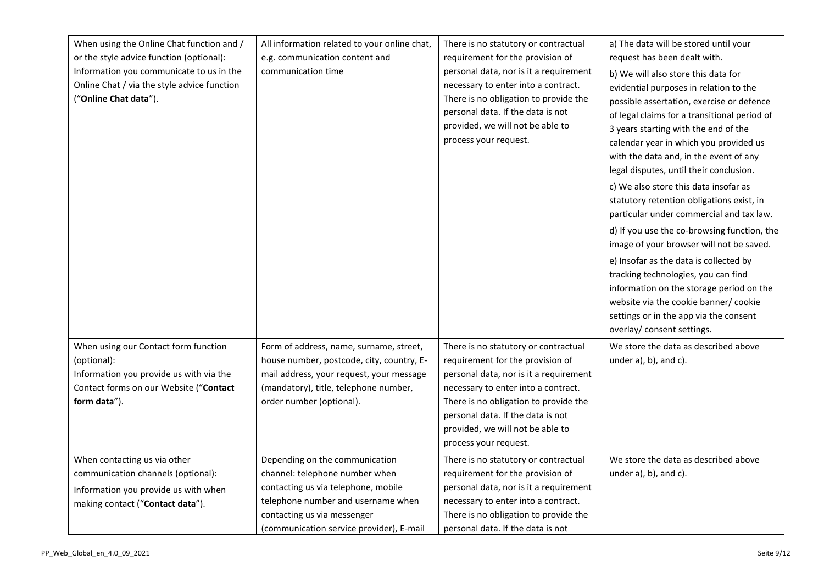| When using the Online Chat function and /<br>or the style advice function (optional):<br>Information you communicate to us in the<br>Online Chat / via the style advice function<br>("Online Chat data"). | All information related to your online chat,<br>e.g. communication content and<br>communication time                                                                                                                     | There is no statutory or contractual<br>requirement for the provision of<br>personal data, nor is it a requirement<br>necessary to enter into a contract.<br>There is no obligation to provide the<br>personal data. If the data is not<br>provided, we will not be able to<br>process your request. | a) The data will be stored until your<br>request has been dealt with.<br>b) We will also store this data for<br>evidential purposes in relation to the<br>possible assertation, exercise or defence<br>of legal claims for a transitional period of<br>3 years starting with the end of the<br>calendar year in which you provided us<br>with the data and, in the event of any<br>legal disputes, until their conclusion.<br>c) We also store this data insofar as<br>statutory retention obligations exist, in<br>particular under commercial and tax law.<br>d) If you use the co-browsing function, the<br>image of your browser will not be saved.<br>e) Insofar as the data is collected by<br>tracking technologies, you can find<br>information on the storage period on the<br>website via the cookie banner/ cookie<br>settings or in the app via the consent<br>overlay/ consent settings. |
|-----------------------------------------------------------------------------------------------------------------------------------------------------------------------------------------------------------|--------------------------------------------------------------------------------------------------------------------------------------------------------------------------------------------------------------------------|------------------------------------------------------------------------------------------------------------------------------------------------------------------------------------------------------------------------------------------------------------------------------------------------------|-------------------------------------------------------------------------------------------------------------------------------------------------------------------------------------------------------------------------------------------------------------------------------------------------------------------------------------------------------------------------------------------------------------------------------------------------------------------------------------------------------------------------------------------------------------------------------------------------------------------------------------------------------------------------------------------------------------------------------------------------------------------------------------------------------------------------------------------------------------------------------------------------------|
| When using our Contact form function<br>(optional):<br>Information you provide us with via the<br>Contact forms on our Website ("Contact<br>form data").                                                  | Form of address, name, surname, street,<br>house number, postcode, city, country, E-<br>mail address, your request, your message<br>(mandatory), title, telephone number,<br>order number (optional).                    | There is no statutory or contractual<br>requirement for the provision of<br>personal data, nor is it a requirement<br>necessary to enter into a contract.<br>There is no obligation to provide the<br>personal data. If the data is not<br>provided, we will not be able to<br>process your request. | We store the data as described above<br>under $a$ ), $b$ ), and $c$ ).                                                                                                                                                                                                                                                                                                                                                                                                                                                                                                                                                                                                                                                                                                                                                                                                                                |
| When contacting us via other<br>communication channels (optional):<br>Information you provide us with when<br>making contact ("Contact data").                                                            | Depending on the communication<br>channel: telephone number when<br>contacting us via telephone, mobile<br>telephone number and username when<br>contacting us via messenger<br>(communication service provider), E-mail | There is no statutory or contractual<br>requirement for the provision of<br>personal data, nor is it a requirement<br>necessary to enter into a contract.<br>There is no obligation to provide the<br>personal data. If the data is not                                                              | We store the data as described above<br>under $a$ ), $b$ ), and $c$ ).                                                                                                                                                                                                                                                                                                                                                                                                                                                                                                                                                                                                                                                                                                                                                                                                                                |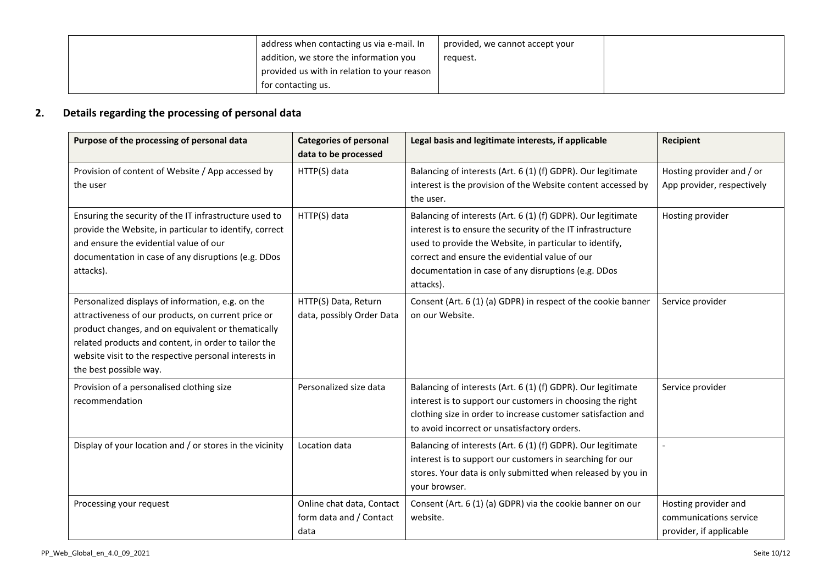| address when contacting us via e-mail. In<br>addition, we store the information you<br>provided us with in relation to your reason | provided, we cannot accept your<br>request. |  |
|------------------------------------------------------------------------------------------------------------------------------------|---------------------------------------------|--|
| for contacting us.                                                                                                                 |                                             |  |

# <span id="page-9-0"></span>**2. Details regarding the processing of personal data**

| Purpose of the processing of personal data                                                                                                                                                                                                                                                                | <b>Categories of personal</b><br>data to be processed        | Legal basis and legitimate interests, if applicable                                                                                                                                                                                                                                                          | Recipient                                                                 |
|-----------------------------------------------------------------------------------------------------------------------------------------------------------------------------------------------------------------------------------------------------------------------------------------------------------|--------------------------------------------------------------|--------------------------------------------------------------------------------------------------------------------------------------------------------------------------------------------------------------------------------------------------------------------------------------------------------------|---------------------------------------------------------------------------|
| Provision of content of Website / App accessed by<br>the user                                                                                                                                                                                                                                             | HTTP(S) data                                                 | Balancing of interests (Art. 6 (1) (f) GDPR). Our legitimate<br>interest is the provision of the Website content accessed by<br>the user.                                                                                                                                                                    | Hosting provider and / or<br>App provider, respectively                   |
| Ensuring the security of the IT infrastructure used to<br>provide the Website, in particular to identify, correct<br>and ensure the evidential value of our<br>documentation in case of any disruptions (e.g. DDos<br>attacks).                                                                           | HTTP(S) data                                                 | Balancing of interests (Art. 6 (1) (f) GDPR). Our legitimate<br>interest is to ensure the security of the IT infrastructure<br>used to provide the Website, in particular to identify,<br>correct and ensure the evidential value of our<br>documentation in case of any disruptions (e.g. DDos<br>attacks). | Hosting provider                                                          |
| Personalized displays of information, e.g. on the<br>attractiveness of our products, on current price or<br>product changes, and on equivalent or thematically<br>related products and content, in order to tailor the<br>website visit to the respective personal interests in<br>the best possible way. | HTTP(S) Data, Return<br>data, possibly Order Data            | Consent (Art. 6 (1) (a) GDPR) in respect of the cookie banner<br>on our Website.                                                                                                                                                                                                                             | Service provider                                                          |
| Provision of a personalised clothing size<br>recommendation                                                                                                                                                                                                                                               | Personalized size data                                       | Balancing of interests (Art. 6 (1) (f) GDPR). Our legitimate<br>interest is to support our customers in choosing the right<br>clothing size in order to increase customer satisfaction and<br>to avoid incorrect or unsatisfactory orders.                                                                   | Service provider                                                          |
| Display of your location and / or stores in the vicinity                                                                                                                                                                                                                                                  | Location data                                                | Balancing of interests (Art. 6 (1) (f) GDPR). Our legitimate<br>interest is to support our customers in searching for our<br>stores. Your data is only submitted when released by you in<br>your browser.                                                                                                    |                                                                           |
| Processing your request                                                                                                                                                                                                                                                                                   | Online chat data, Contact<br>form data and / Contact<br>data | Consent (Art. 6 (1) (a) GDPR) via the cookie banner on our<br>website.                                                                                                                                                                                                                                       | Hosting provider and<br>communications service<br>provider, if applicable |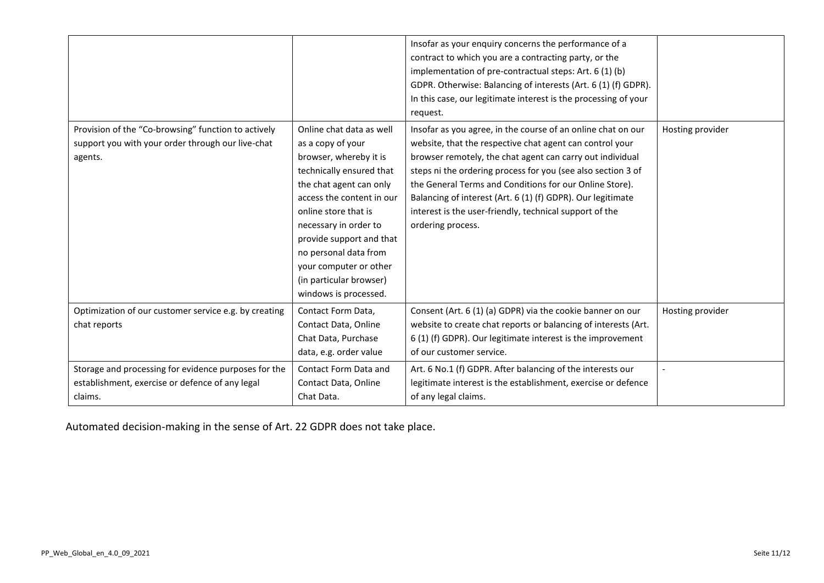|                                                       |                           | Insofar as your enquiry concerns the performance of a           |                  |
|-------------------------------------------------------|---------------------------|-----------------------------------------------------------------|------------------|
|                                                       |                           | contract to which you are a contracting party, or the           |                  |
|                                                       |                           | implementation of pre-contractual steps: Art. 6 (1) (b)         |                  |
|                                                       |                           | GDPR. Otherwise: Balancing of interests (Art. 6 (1) (f) GDPR).  |                  |
|                                                       |                           | In this case, our legitimate interest is the processing of your |                  |
|                                                       |                           | request.                                                        |                  |
| Provision of the "Co-browsing" function to actively   | Online chat data as well  | Insofar as you agree, in the course of an online chat on our    | Hosting provider |
| support you with your order through our live-chat     | as a copy of your         | website, that the respective chat agent can control your        |                  |
| agents.                                               | browser, whereby it is    | browser remotely, the chat agent can carry out individual       |                  |
|                                                       | technically ensured that  | steps ni the ordering process for you (see also section 3 of    |                  |
|                                                       | the chat agent can only   | the General Terms and Conditions for our Online Store).         |                  |
|                                                       | access the content in our | Balancing of interest (Art. 6 (1) (f) GDPR). Our legitimate     |                  |
|                                                       | online store that is      | interest is the user-friendly, technical support of the         |                  |
|                                                       | necessary in order to     | ordering process.                                               |                  |
|                                                       | provide support and that  |                                                                 |                  |
|                                                       | no personal data from     |                                                                 |                  |
|                                                       | your computer or other    |                                                                 |                  |
|                                                       | (in particular browser)   |                                                                 |                  |
|                                                       | windows is processed.     |                                                                 |                  |
| Optimization of our customer service e.g. by creating | Contact Form Data,        | Consent (Art. 6 (1) (a) GDPR) via the cookie banner on our      | Hosting provider |
| chat reports                                          | Contact Data, Online      | website to create chat reports or balancing of interests (Art.  |                  |
|                                                       | Chat Data, Purchase       | 6 (1) (f) GDPR). Our legitimate interest is the improvement     |                  |
|                                                       | data, e.g. order value    | of our customer service.                                        |                  |
| Storage and processing for evidence purposes for the  | Contact Form Data and     | Art. 6 No.1 (f) GDPR. After balancing of the interests our      |                  |
| establishment, exercise or defence of any legal       | Contact Data, Online      | legitimate interest is the establishment, exercise or defence   |                  |
| claims.                                               | Chat Data.                | of any legal claims.                                            |                  |
|                                                       |                           |                                                                 |                  |

Automated decision-making in the sense of Art. 22 GDPR does not take place.